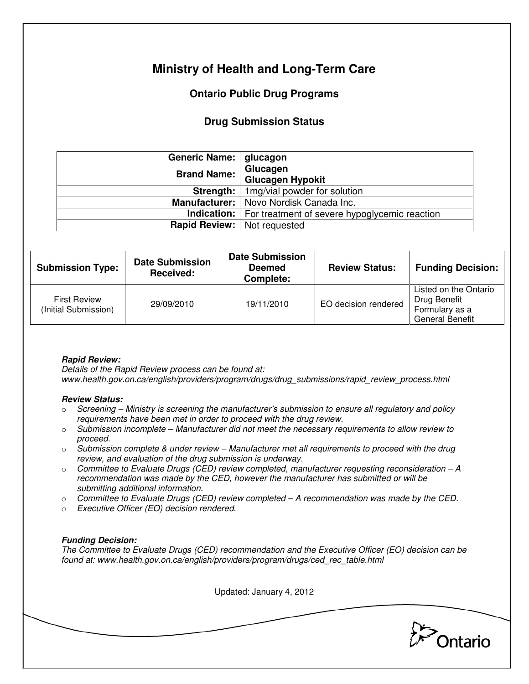# **Ministry of Health and Long-Term Care**

## **Ontario Public Drug Programs**

### **Drug Submission Status**

| Generic Name:   glucagon |                                                                                                                                                      |  |  |
|--------------------------|------------------------------------------------------------------------------------------------------------------------------------------------------|--|--|
| <b>Brand Name:</b>       | Glucagen                                                                                                                                             |  |  |
|                          | <b>Glucagen Hypokit</b>                                                                                                                              |  |  |
|                          | <b>Strength:</b>   1mg/vial powder for solution                                                                                                      |  |  |
|                          | Manufacturer:   Novo Nordisk Canada Inc.<br><b>Indication:</b>   For treatment of severe hypoglycemic reaction<br><b>Rapid Review:</b> Not requested |  |  |
|                          |                                                                                                                                                      |  |  |
|                          |                                                                                                                                                      |  |  |

| <b>Submission Type:</b>                     | <b>Date Submission</b><br>Received: | <b>Date Submission</b><br><b>Deemed</b><br>Complete: | <b>Review Status:</b> | <b>Funding Decision:</b>                                                          |
|---------------------------------------------|-------------------------------------|------------------------------------------------------|-----------------------|-----------------------------------------------------------------------------------|
| <b>First Review</b><br>(Initial Submission) | 29/09/2010                          | 19/11/2010                                           | EO decision rendered  | Listed on the Ontario<br>Drug Benefit<br>Formulary as a<br><b>General Benefit</b> |

### **Rapid Review:**

Details of the Rapid Review process can be found at: www.health.gov.on.ca/english/providers/program/drugs/drug\_submissions/rapid\_review\_process.html

#### **Review Status:**

- $\circ$  Screening Ministry is screening the manufacturer's submission to ensure all regulatory and policy requirements have been met in order to proceed with the drug review.
- $\circ$  Submission incomplete Manufacturer did not meet the necessary requirements to allow review to proceed.
- $\circ$  Submission complete & under review Manufacturer met all requirements to proceed with the drug review, and evaluation of the drug submission is underway.
- $\circ$  Committee to Evaluate Drugs (CED) review completed, manufacturer requesting reconsideration  $-A$ recommendation was made by the CED, however the manufacturer has submitted or will be submitting additional information.
- $\circ$  Committee to Evaluate Drugs (CED) review completed A recommendation was made by the CED.
- o Executive Officer (EO) decision rendered.

### **Funding Decision:**

The Committee to Evaluate Drugs (CED) recommendation and the Executive Officer (EO) decision can be found at: www.health.gov.on.ca/english/providers/program/drugs/ced\_rec\_table.html

Updated: January 4, 2012

Ontario